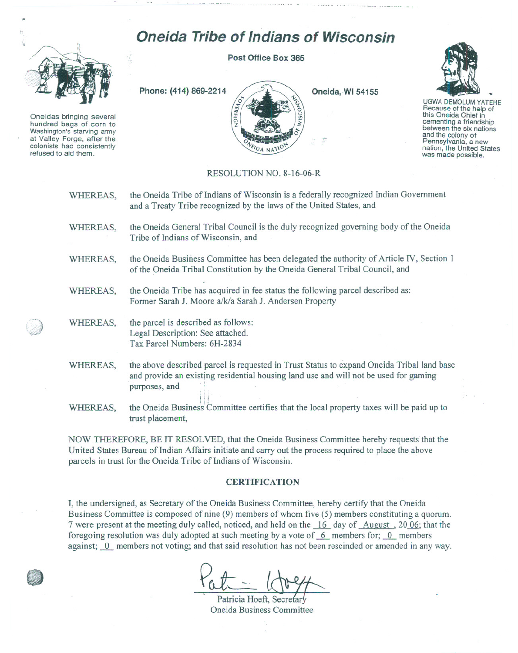## **Oneida Tribe of Indians of Wisconsin**



Oneidas bringing several hundred bags of corn to Washington's starving army at Valley Forge, after the refused to aid them.

**Post Office Box 365**



**Oneida, Wi 54155**



UGWA DEMOLUM YATEHE Because of the help of this Oneida Chief in between the six nations and the colony of<br>Pennsylvania, a new nation, the United States was made possible,

## RESOLUTION NO. 8-16-06-R

| WHEREAS, | the Oneida Tribe of Indians of Wisconsin is a federally recognized Indian Government<br>and a Treaty Tribe recognized by the laws of the United States, and                                        |
|----------|----------------------------------------------------------------------------------------------------------------------------------------------------------------------------------------------------|
| WHEREAS, | the Oneida General Tribal Council is the duly recognized governing body of the Oneida<br>Tribe of Indians of Wisconsin, and                                                                        |
| WHEREAS, | the Oneida Business Committee has been delegated the authority of Article IV, Section 1<br>of the Oneida Tribal Constitution by the Oneida General Tribal Council, and                             |
| WHEREAS, | the Oneida Tribe has acquired in fee status the following parcel described as:<br>Former Sarah J. Moore a/k/a Sarah J. Andersen Property                                                           |
| WHEREAS, | the parcel is described as follows:<br>Legal Description: See attached.<br>Tax Parcel Numbers: 6H-2834                                                                                             |
| WHEREAS, | the above described parcel is requested in Trust Status to expand Oneida Tribal land base<br>and provide an existing residential housing land use and will not be used for gaming<br>purposes, and |
| WHEREAS, | the Oneida Business Committee certifies that the local property taxes will be paid up to<br>trust placement,                                                                                       |

NOW THEREFORE, BE IT RESOLVED, that the Oneida Business Committee hereby requests that the United States Bureau of Indian Affairs initiate and carry out the process required to place the above parcels in trust for the Oneida Tribe of Indians of Wisconsin.

## **CERTIFICATION**

I, the undersigned, as Secretary of the Oneida Business Committee, hereby certify that the Oneida Business Committee is composed of nine (9) members of whom five (5) members constituting a quorum. 7 were present at the meeting duly called, noticed, and held on the  $\frac{16}{16}$  day of August , 2006; that the foregoing resolution was duly adopted at such meeting by a vote of  $6$  members for;  $0$  members against; 0 members not voting; and that said resolution has not been rescinded or amended in any way.

Patricia Hoeft, Secreta Oneida Business Committee